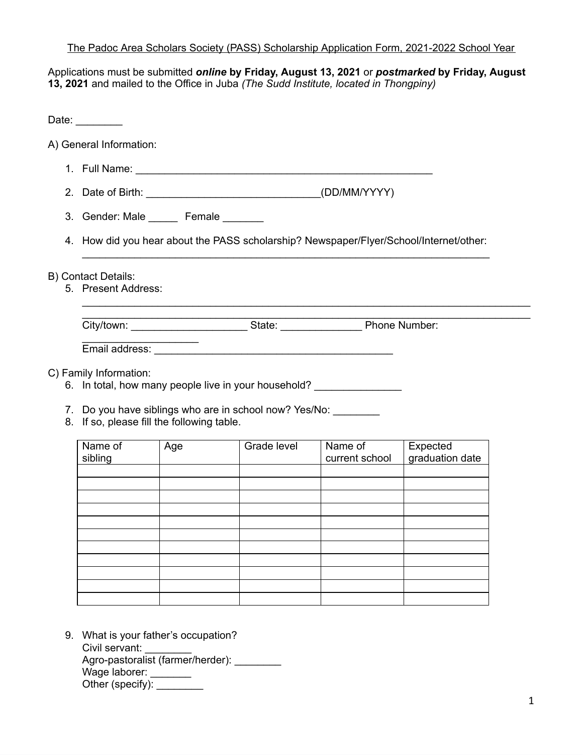## The Padoc Area Scholars Society (PASS) Scholarship Application Form, 2021-2022 School Year

Applications must be submitted *online* **by Friday, August 13, 2021** or *postmarked* **by Friday, August 13, 2021** and mailed to the Office in Juba *(The Sudd Institute, located in Thongpiny)*

Date: \_\_\_\_\_\_\_\_ A) General Information: 1. Full Name: \_\_\_\_\_\_\_\_\_\_\_\_\_\_\_\_\_\_\_\_\_\_\_\_\_\_\_\_\_\_\_\_\_\_\_\_\_\_\_\_\_\_\_\_\_\_\_\_\_\_\_ 2. Date of Birth: \_\_\_\_\_\_\_\_\_\_\_\_\_\_\_\_\_\_\_\_\_\_\_\_\_\_\_\_\_\_(DD/MM/YYYY) 3. Gender: Male Female 4. How did you hear about the PASS scholarship? Newspaper/Flyer/School/Internet/other: \_\_\_\_\_\_\_\_\_\_\_\_\_\_\_\_\_\_\_\_\_\_\_\_\_\_\_\_\_\_\_\_\_\_\_\_\_\_\_\_\_\_\_\_\_\_\_\_\_\_\_\_\_\_\_\_\_\_\_\_\_\_\_\_\_\_\_\_\_\_ B) Contact Details: 5. Present Address: \_\_\_\_\_\_\_\_\_\_\_\_\_\_\_\_\_\_\_\_\_\_\_\_\_\_\_\_\_\_\_\_\_\_\_\_\_\_\_\_\_\_\_\_\_\_\_\_\_\_\_\_\_\_\_\_\_\_\_\_\_\_\_\_\_\_\_\_\_\_\_\_\_\_\_\_\_ \_\_\_\_\_\_\_\_\_\_\_\_\_\_\_\_\_\_\_\_\_\_\_\_\_\_\_\_\_\_\_\_\_\_\_\_\_\_\_\_\_\_\_\_\_\_\_\_\_\_\_\_\_\_\_\_\_\_\_\_\_\_\_\_\_\_\_\_\_\_\_\_\_\_\_\_\_ City/town: State: Phone Number:  $\overline{\phantom{a}}$ Email address: \_\_\_\_\_\_\_\_\_\_\_\_\_\_\_\_\_\_\_\_\_\_\_\_\_\_\_\_\_\_\_\_\_\_\_\_\_\_\_\_\_ C) Family Information: 6. In total, how many people live in your household? 7. Do you have siblings who are in school now? Yes/No: 8. If so, please fill the following table. Name of sibling Age | Grade level | Name of current school Expected graduation date

9. What is your father's occupation? Civil servant: Agro-pastoralist (farmer/herder): Wage laborer: \_\_\_\_\_\_\_ Other (specify):